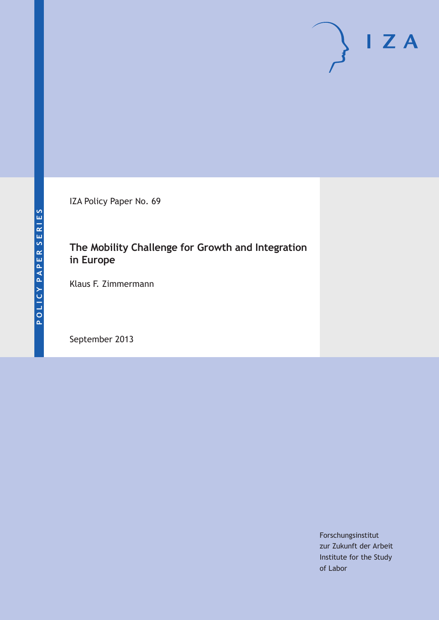IZA Policy Paper No. 69

## **The Mobility Challenge for Growth and Integration in Europe**

Klaus F. Zimmermann

September 2013

Forschungsinstitut zur Zukunft der Arbeit Institute for the Study of Labor

 $\mathsf{I}$  Z A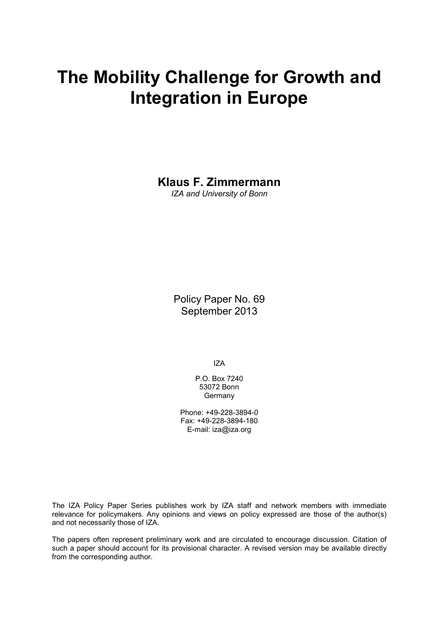# **The Mobility Challenge for Growth and Integration in Europe**

**Klaus F. Zimmermann**

*IZA and University of Bonn*

Policy Paper No. 69 September 2013

IZA

P.O. Box 7240 53072 Bonn **Germany** 

Phone: +49-228-3894-0 Fax: +49-228-3894-180 E-mail: [iza@iza.org](mailto:iza@iza.org)

The IZA Policy Paper Series publishes work by IZA staff and network members with immediate relevance for policymakers. Any opinions and views on policy expressed are those of the author(s) and not necessarily those of IZA.

The papers often represent preliminary work and are circulated to encourage discussion. Citation of such a paper should account for its provisional character. A revised version may be available directly from the corresponding author.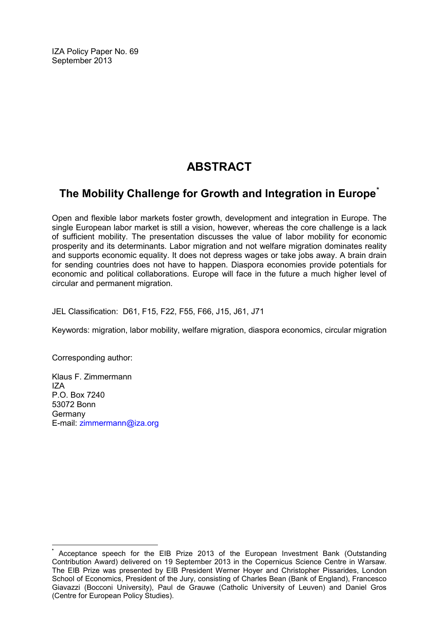IZA Policy Paper No. 69 September 2013

# **ABSTRACT**

### **The Mobility Challenge for Growth and Integration in Europe[\\*](#page-2-0)**

Open and flexible labor markets foster growth, development and integration in Europe. The single European labor market is still a vision, however, whereas the core challenge is a lack of sufficient mobility. The presentation discusses the value of labor mobility for economic prosperity and its determinants. Labor migration and not welfare migration dominates reality and supports economic equality. It does not depress wages or take jobs away. A brain drain for sending countries does not have to happen. Diaspora economies provide potentials for economic and political collaborations. Europe will face in the future a much higher level of circular and permanent migration.

JEL Classification: D61, F15, F22, F55, F66, J15, J61, J71

Keywords: migration, labor mobility, welfare migration, diaspora economics, circular migration

Corresponding author:

Klaus F. Zimmermann IZA P.O. Box 7240 53072 Bonn **Germany** E-mail: [zimmermann@iza.org](mailto:zimmermann@iza.org)

<span id="page-2-0"></span>**\*** Acceptance speech for the EIB Prize 2013 of the European Investment Bank (Outstanding Contribution Award) delivered on 19 September 2013 in the Copernicus Science Centre in Warsaw. The EIB Prize was presented by EIB President Werner Hoyer and Christopher Pissarides, London School of Economics, President of the Jury, consisting of Charles Bean (Bank of England), Francesco Giavazzi (Bocconi University), Paul de Grauwe (Catholic University of Leuven) and Daniel Gros (Centre for European Policy Studies).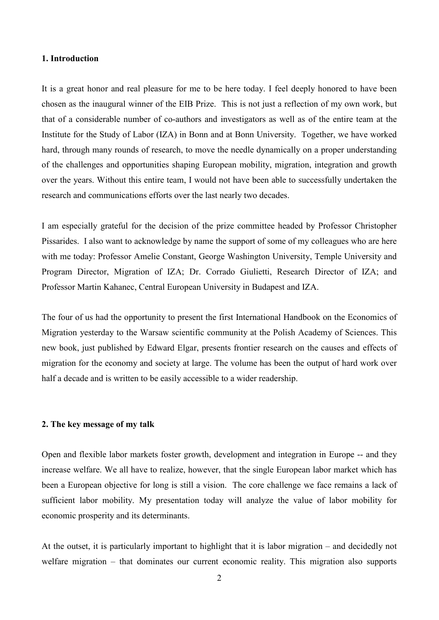#### **1. Introduction**

It is a great honor and real pleasure for me to be here today. I feel deeply honored to have been chosen as the inaugural winner of the EIB Prize. This is not just a reflection of my own work, but that of a considerable number of co-authors and investigators as well as of the entire team at the Institute for the Study of Labor (IZA) in Bonn and at Bonn University. Together, we have worked hard, through many rounds of research, to move the needle dynamically on a proper understanding of the challenges and opportunities shaping European mobility, migration, integration and growth over the years. Without this entire team, I would not have been able to successfully undertaken the research and communications efforts over the last nearly two decades.

I am especially grateful for the decision of the prize committee headed by Professor Christopher Pissarides. I also want to acknowledge by name the support of some of my colleagues who are here with me today: Professor Amelie Constant, George Washington University, Temple University and Program Director, Migration of IZA; Dr. Corrado Giulietti, Research Director of IZA; and Professor Martin Kahanec, Central European University in Budapest and IZA.

The four of us had the opportunity to present the first International Handbook on the Economics of Migration yesterday to the Warsaw scientific community at the Polish Academy of Sciences. This new book, just published by Edward Elgar, presents frontier research on the causes and effects of migration for the economy and society at large. The volume has been the output of hard work over half a decade and is written to be easily accessible to a wider readership.

#### **2. The key message of my talk**

Open and flexible labor markets foster growth, development and integration in Europe -- and they increase welfare. We all have to realize, however, that the single European labor market which has been a European objective for long is still a vision. The core challenge we face remains a lack of sufficient labor mobility. My presentation today will analyze the value of labor mobility for economic prosperity and its determinants.

At the outset, it is particularly important to highlight that it is labor migration – and decidedly not welfare migration – that dominates our current economic reality. This migration also supports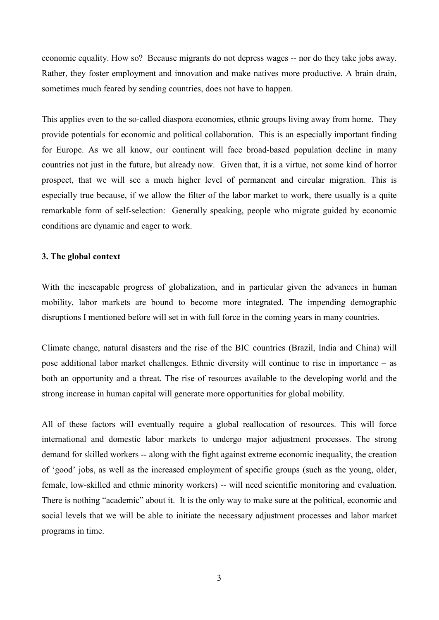economic equality. How so? Because migrants do not depress wages -- nor do they take jobs away. Rather, they foster employment and innovation and make natives more productive. A brain drain, sometimes much feared by sending countries, does not have to happen.

This applies even to the so-called diaspora economies, ethnic groups living away from home. They provide potentials for economic and political collaboration. This is an especially important finding for Europe. As we all know, our continent will face broad-based population decline in many countries not just in the future, but already now. Given that, it is a virtue, not some kind of horror prospect, that we will see a much higher level of permanent and circular migration. This is especially true because, if we allow the filter of the labor market to work, there usually is a quite remarkable form of self-selection: Generally speaking, people who migrate guided by economic conditions are dynamic and eager to work.

#### **3. The global context**

With the inescapable progress of globalization, and in particular given the advances in human mobility, labor markets are bound to become more integrated. The impending demographic disruptions I mentioned before will set in with full force in the coming years in many countries.

Climate change, natural disasters and the rise of the BIC countries (Brazil, India and China) will pose additional labor market challenges. Ethnic diversity will continue to rise in importance – as both an opportunity and a threat. The rise of resources available to the developing world and the strong increase in human capital will generate more opportunities for global mobility.

All of these factors will eventually require a global reallocation of resources. This will force international and domestic labor markets to undergo major adjustment processes. The strong demand for skilled workers -- along with the fight against extreme economic inequality, the creation of 'good' jobs, as well as the increased employment of specific groups (such as the young, older, female, low-skilled and ethnic minority workers) -- will need scientific monitoring and evaluation. There is nothing "academic" about it. It is the only way to make sure at the political, economic and social levels that we will be able to initiate the necessary adjustment processes and labor market programs in time.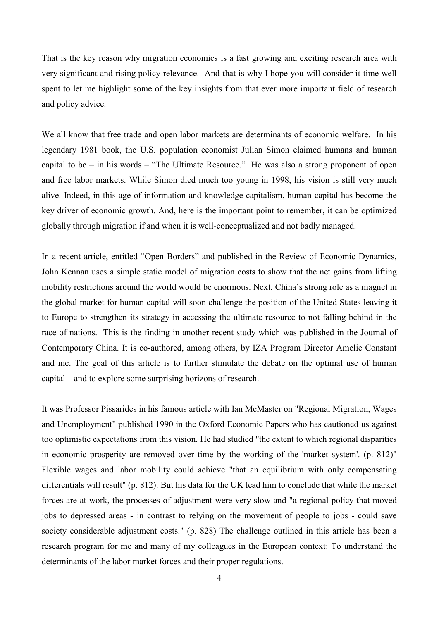That is the key reason why migration economics is a fast growing and exciting research area with very significant and rising policy relevance. And that is why I hope you will consider it time well spent to let me highlight some of the key insights from that ever more important field of research and policy advice.

We all know that free trade and open labor markets are determinants of economic welfare. In his legendary 1981 book, the U.S. population economist Julian Simon claimed humans and human capital to be – in his words – "The Ultimate Resource." He was also a strong proponent of open and free labor markets. While Simon died much too young in 1998, his vision is still very much alive. Indeed, in this age of information and knowledge capitalism, human capital has become the key driver of economic growth. And, here is the important point to remember, it can be optimized globally through migration if and when it is well-conceptualized and not badly managed.

In a recent article, entitled "Open Borders" and published in the Review of Economic Dynamics, John Kennan uses a simple static model of migration costs to show that the net gains from lifting mobility restrictions around the world would be enormous. Next, China's strong role as a magnet in the global market for human capital will soon challenge the position of the United States leaving it to Europe to strengthen its strategy in accessing the ultimate resource to not falling behind in the race of nations. This is the finding in another recent study which was published in the Journal of Contemporary China. It is co-authored, among others, by IZA Program Director Amelie Constant and me. The goal of this article is to further stimulate the debate on the optimal use of human capital – and to explore some surprising horizons of research.

It was Professor Pissarides in his famous article with Ian McMaster on "Regional Migration, Wages and Unemployment" published 1990 in the Oxford Economic Papers who has cautioned us against too optimistic expectations from this vision. He had studied "the extent to which regional disparities in economic prosperity are removed over time by the working of the 'market system'. (p. 812)" Flexible wages and labor mobility could achieve "that an equilibrium with only compensating differentials will result" (p. 812). But his data for the UK lead him to conclude that while the market forces are at work, the processes of adjustment were very slow and "a regional policy that moved jobs to depressed areas - in contrast to relying on the movement of people to jobs - could save society considerable adjustment costs." (p. 828) The challenge outlined in this article has been a research program for me and many of my colleagues in the European context: To understand the determinants of the labor market forces and their proper regulations.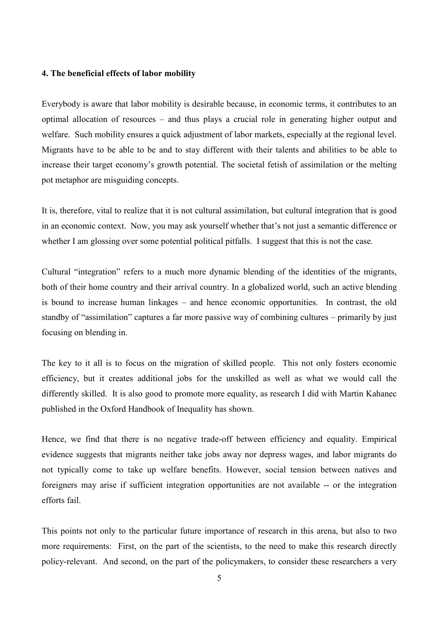#### **4. The beneficial effects of labor mobility**

Everybody is aware that labor mobility is desirable because, in economic terms, it contributes to an optimal allocation of resources – and thus plays a crucial role in generating higher output and welfare. Such mobility ensures a quick adjustment of labor markets, especially at the regional level. Migrants have to be able to be and to stay different with their talents and abilities to be able to increase their target economy's growth potential. The societal fetish of assimilation or the melting pot metaphor are misguiding concepts.

It is, therefore, vital to realize that it is not cultural assimilation, but cultural integration that is good in an economic context. Now, you may ask yourself whether that's not just a semantic difference or whether I am glossing over some potential political pitfalls. I suggest that this is not the case.

Cultural "integration" refers to a much more dynamic blending of the identities of the migrants, both of their home country and their arrival country. In a globalized world, such an active blending is bound to increase human linkages – and hence economic opportunities. In contrast, the old standby of "assimilation" captures a far more passive way of combining cultures – primarily by just focusing on blending in.

The key to it all is to focus on the migration of skilled people. This not only fosters economic efficiency, but it creates additional jobs for the unskilled as well as what we would call the differently skilled. It is also good to promote more equality, as research I did with Martin Kahanec published in the Oxford Handbook of Inequality has shown.

Hence, we find that there is no negative trade-off between efficiency and equality. Empirical evidence suggests that migrants neither take jobs away nor depress wages, and labor migrants do not typically come to take up welfare benefits. However, social tension between natives and foreigners may arise if sufficient integration opportunities are not available -- or the integration efforts fail.

This points not only to the particular future importance of research in this arena, but also to two more requirements: First, on the part of the scientists, to the need to make this research directly policy-relevant. And second, on the part of the policymakers, to consider these researchers a very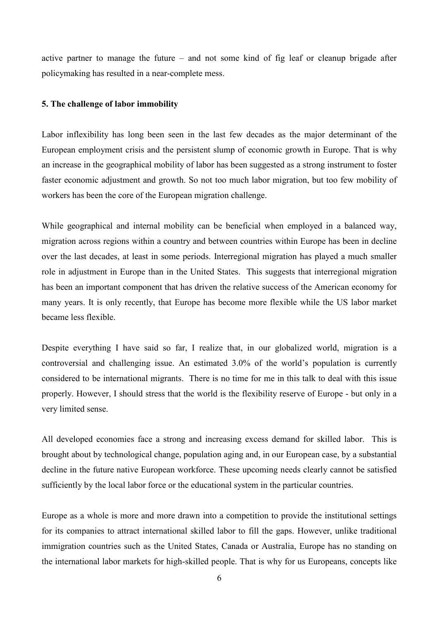active partner to manage the future – and not some kind of fig leaf or cleanup brigade after policymaking has resulted in a near-complete mess.

#### **5. The challenge of labor immobility**

Labor inflexibility has long been seen in the last few decades as the major determinant of the European employment crisis and the persistent slump of economic growth in Europe. That is why an increase in the geographical mobility of labor has been suggested as a strong instrument to foster faster economic adjustment and growth. So not too much labor migration, but too few mobility of workers has been the core of the European migration challenge.

While geographical and internal mobility can be beneficial when employed in a balanced way, migration across regions within a country and between countries within Europe has been in decline over the last decades, at least in some periods. Interregional migration has played a much smaller role in adjustment in Europe than in the United States. This suggests that interregional migration has been an important component that has driven the relative success of the American economy for many years. It is only recently, that Europe has become more flexible while the US labor market became less flexible.

Despite everything I have said so far, I realize that, in our globalized world, migration is a controversial and challenging issue. An estimated 3.0% of the world's population is currently considered to be international migrants. There is no time for me in this talk to deal with this issue properly. However, I should stress that the world is the flexibility reserve of Europe - but only in a very limited sense.

All developed economies face a strong and increasing excess demand for skilled labor. This is brought about by technological change, population aging and, in our European case, by a substantial decline in the future native European workforce. These upcoming needs clearly cannot be satisfied sufficiently by the local labor force or the educational system in the particular countries.

Europe as a whole is more and more drawn into a competition to provide the institutional settings for its companies to attract international skilled labor to fill the gaps. However, unlike traditional immigration countries such as the United States, Canada or Australia, Europe has no standing on the international labor markets for high-skilled people. That is why for us Europeans, concepts like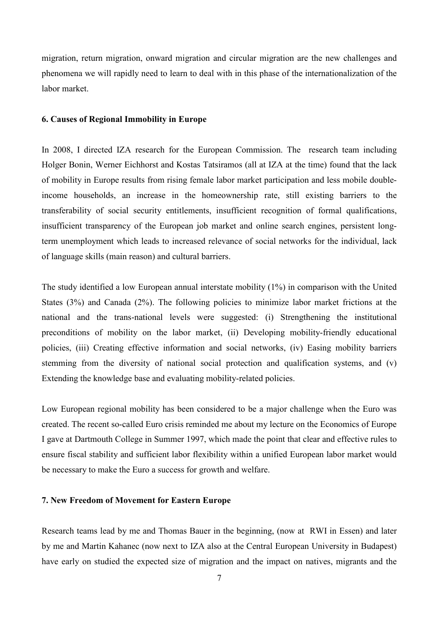migration, return migration, onward migration and circular migration are the new challenges and phenomena we will rapidly need to learn to deal with in this phase of the internationalization of the labor market.

#### **6. Causes of Regional Immobility in Europe**

In 2008, I directed IZA research for the European Commission. The research team including Holger Bonin, Werner Eichhorst and Kostas Tatsiramos (all at IZA at the time) found that the lack of mobility in Europe results from rising female labor market participation and less mobile doubleincome households, an increase in the homeownership rate, still existing barriers to the transferability of social security entitlements, insufficient recognition of formal qualifications, insufficient transparency of the European job market and online search engines, persistent longterm unemployment which leads to increased relevance of social networks for the individual, lack of language skills (main reason) and cultural barriers.

The study identified a low European annual interstate mobility (1%) in comparison with the United States (3%) and Canada (2%). The following policies to minimize labor market frictions at the national and the trans-national levels were suggested: (i) Strengthening the institutional preconditions of mobility on the labor market, (ii) Developing mobility-friendly educational policies, (iii) Creating effective information and social networks, (iv) Easing mobility barriers stemming from the diversity of national social protection and qualification systems, and (v) Extending the knowledge base and evaluating mobility-related policies.

Low European regional mobility has been considered to be a major challenge when the Euro was created. The recent so-called Euro crisis reminded me about my lecture on the Economics of Europe I gave at Dartmouth College in Summer 1997, which made the point that clear and effective rules to ensure fiscal stability and sufficient labor flexibility within a unified European labor market would be necessary to make the Euro a success for growth and welfare.

#### **7. New Freedom of Movement for Eastern Europe**

Research teams lead by me and Thomas Bauer in the beginning, (now at RWI in Essen) and later by me and Martin Kahanec (now next to IZA also at the Central European University in Budapest) have early on studied the expected size of migration and the impact on natives, migrants and the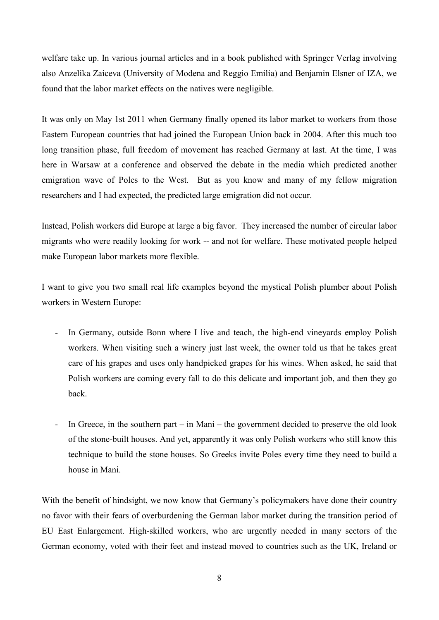welfare take up. In various journal articles and in a book published with Springer Verlag involving also Anzelika Zaiceva (University of Modena and Reggio Emilia) and Benjamin Elsner of IZA, we found that the labor market effects on the natives were negligible.

It was only on May 1st 2011 when Germany finally opened its labor market to workers from those Eastern European countries that had joined the European Union back in 2004. After this much too long transition phase, full freedom of movement has reached Germany at last. At the time, I was here in Warsaw at a conference and observed the debate in the media which predicted another emigration wave of Poles to the West. But as you know and many of my fellow migration researchers and I had expected, the predicted large emigration did not occur.

Instead, Polish workers did Europe at large a big favor. They increased the number of circular labor migrants who were readily looking for work -- and not for welfare. These motivated people helped make European labor markets more flexible.

I want to give you two small real life examples beyond the mystical Polish plumber about Polish workers in Western Europe:

- In Germany, outside Bonn where I live and teach, the high-end vineyards employ Polish workers. When visiting such a winery just last week, the owner told us that he takes great care of his grapes and uses only handpicked grapes for his wines. When asked, he said that Polish workers are coming every fall to do this delicate and important job, and then they go back.
- In Greece, in the southern part in Mani the government decided to preserve the old look of the stone-built houses. And yet, apparently it was only Polish workers who still know this technique to build the stone houses. So Greeks invite Poles every time they need to build a house in Mani.

With the benefit of hindsight, we now know that Germany's policymakers have done their country no favor with their fears of overburdening the German labor market during the transition period of EU East Enlargement. High-skilled workers, who are urgently needed in many sectors of the German economy, voted with their feet and instead moved to countries such as the UK, Ireland or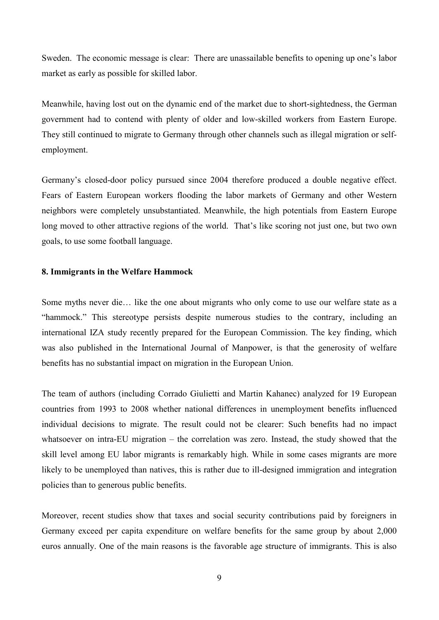Sweden. The economic message is clear: There are unassailable benefits to opening up one's labor market as early as possible for skilled labor.

Meanwhile, having lost out on the dynamic end of the market due to short-sightedness, the German government had to contend with plenty of older and low-skilled workers from Eastern Europe. They still continued to migrate to Germany through other channels such as illegal migration or selfemployment.

Germany's closed-door policy pursued since 2004 therefore produced a double negative effect. Fears of Eastern European workers flooding the labor markets of Germany and other Western neighbors were completely unsubstantiated. Meanwhile, the high potentials from Eastern Europe long moved to other attractive regions of the world. That's like scoring not just one, but two own goals, to use some football language.

#### **8. Immigrants in the Welfare Hammock**

Some myths never die… like the one about migrants who only come to use our welfare state as a "hammock." This stereotype persists despite numerous studies to the contrary, including an international IZA study recently prepared for the European Commission. The key finding, which was also published in the International Journal of Manpower, is that the generosity of welfare benefits has no substantial impact on migration in the European Union.

The team of authors (including Corrado Giulietti and Martin Kahanec) analyzed for 19 European countries from 1993 to 2008 whether national differences in unemployment benefits influenced individual decisions to migrate. The result could not be clearer: Such benefits had no impact whatsoever on intra-EU migration – the correlation was zero. Instead, the study showed that the skill level among EU labor migrants is remarkably high. While in some cases migrants are more likely to be unemployed than natives, this is rather due to ill-designed immigration and integration policies than to generous public benefits.

Moreover, recent studies show that taxes and social security contributions paid by foreigners in Germany exceed per capita expenditure on welfare benefits for the same group by about 2,000 euros annually. One of the main reasons is the favorable age structure of immigrants. This is also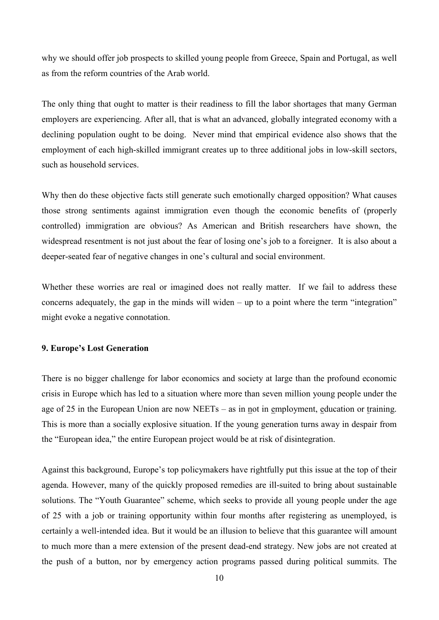why we should offer job prospects to skilled young people from Greece, Spain and Portugal, as well as from the reform countries of the Arab world.

The only thing that ought to matter is their readiness to fill the labor shortages that many German employers are experiencing. After all, that is what an advanced, globally integrated economy with a declining population ought to be doing. Never mind that empirical evidence also shows that the employment of each high-skilled immigrant creates up to three additional jobs in low-skill sectors, such as household services.

Why then do these objective facts still generate such emotionally charged opposition? What causes those strong sentiments against immigration even though the economic benefits of (properly controlled) immigration are obvious? As American and British researchers have shown, the widespread resentment is not just about the fear of losing one's job to a foreigner. It is also about a deeper-seated fear of negative changes in one's cultural and social environment.

Whether these worries are real or imagined does not really matter. If we fail to address these concerns adequately, the gap in the minds will widen – up to a point where the term "integration" might evoke a negative connotation.

#### **9. Europe's Lost Generation**

There is no bigger challenge for labor economics and society at large than the profound economic crisis in Europe which has led to a situation where more than seven million young people under the age of 25 in the European Union are now NEETs – as in not in employment, education or training. This is more than a socially explosive situation. If the young generation turns away in despair from the "European idea," the entire European project would be at risk of disintegration.

Against this background, Europe's top policymakers have rightfully put this issue at the top of their agenda. However, many of the quickly proposed remedies are ill-suited to bring about sustainable solutions. The "Youth Guarantee" scheme, which seeks to provide all young people under the age of 25 with a job or training opportunity within four months after registering as unemployed, is certainly a well-intended idea. But it would be an illusion to believe that this guarantee will amount to much more than a mere extension of the present dead-end strategy. New jobs are not created at the push of a button, nor by emergency action programs passed during political summits. The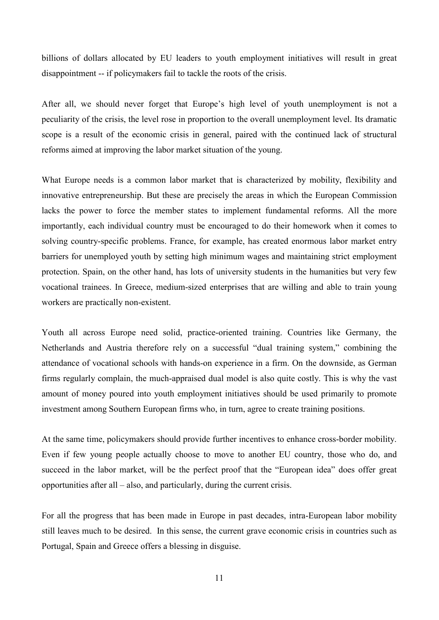billions of dollars allocated by EU leaders to youth employment initiatives will result in great disappointment -- if policymakers fail to tackle the roots of the crisis.

After all, we should never forget that Europe's high level of youth unemployment is not a peculiarity of the crisis, the level rose in proportion to the overall unemployment level. Its dramatic scope is a result of the economic crisis in general, paired with the continued lack of structural reforms aimed at improving the labor market situation of the young.

What Europe needs is a common labor market that is characterized by mobility, flexibility and innovative entrepreneurship. But these are precisely the areas in which the European Commission lacks the power to force the member states to implement fundamental reforms. All the more importantly, each individual country must be encouraged to do their homework when it comes to solving country-specific problems. France, for example, has created enormous labor market entry barriers for unemployed youth by setting high minimum wages and maintaining strict employment protection. Spain, on the other hand, has lots of university students in the humanities but very few vocational trainees. In Greece, medium-sized enterprises that are willing and able to train young workers are practically non-existent.

Youth all across Europe need solid, practice-oriented training. Countries like Germany, the Netherlands and Austria therefore rely on a successful "dual training system," combining the attendance of vocational schools with hands-on experience in a firm. On the downside, as German firms regularly complain, the much-appraised dual model is also quite costly. This is why the vast amount of money poured into youth employment initiatives should be used primarily to promote investment among Southern European firms who, in turn, agree to create training positions.

At the same time, policymakers should provide further incentives to enhance cross-border mobility. Even if few young people actually choose to move to another EU country, those who do, and succeed in the labor market, will be the perfect proof that the "European idea" does offer great opportunities after all – also, and particularly, during the current crisis.

For all the progress that has been made in Europe in past decades, intra-European labor mobility still leaves much to be desired. In this sense, the current grave economic crisis in countries such as Portugal, Spain and Greece offers a blessing in disguise.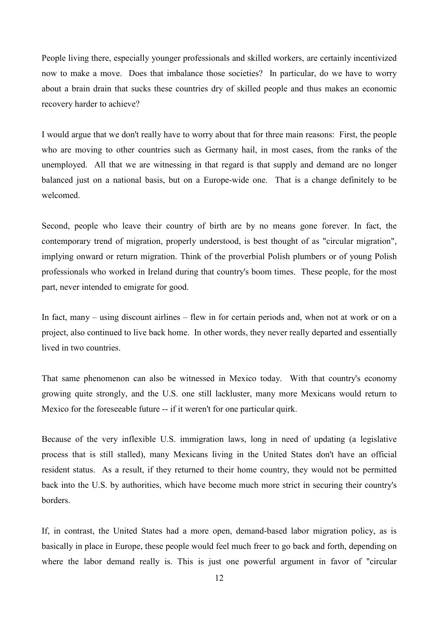People living there, especially younger professionals and skilled workers, are certainly incentivized now to make a move. Does that imbalance those societies? In particular, do we have to worry about a brain drain that sucks these countries dry of skilled people and thus makes an economic recovery harder to achieve?

I would argue that we don't really have to worry about that for three main reasons: First, the people who are moving to other countries such as Germany hail, in most cases, from the ranks of the unemployed. All that we are witnessing in that regard is that supply and demand are no longer balanced just on a national basis, but on a Europe-wide one. That is a change definitely to be welcomed.

Second, people who leave their country of birth are by no means gone forever. In fact, the contemporary trend of migration, properly understood, is best thought of as "circular migration", implying onward or return migration. Think of the proverbial Polish plumbers or of young Polish professionals who worked in Ireland during that country's boom times. These people, for the most part, never intended to emigrate for good.

In fact, many – using discount airlines – flew in for certain periods and, when not at work or on a project, also continued to live back home. In other words, they never really departed and essentially lived in two countries.

That same phenomenon can also be witnessed in Mexico today. With that country's economy growing quite strongly, and the U.S. one still lackluster, many more Mexicans would return to Mexico for the foreseeable future -- if it weren't for one particular quirk.

Because of the very inflexible U.S. immigration laws, long in need of updating (a legislative process that is still stalled), many Mexicans living in the United States don't have an official resident status. As a result, if they returned to their home country, they would not be permitted back into the U.S. by authorities, which have become much more strict in securing their country's borders.

If, in contrast, the United States had a more open, demand-based labor migration policy, as is basically in place in Europe, these people would feel much freer to go back and forth, depending on where the labor demand really is. This is just one powerful argument in favor of "circular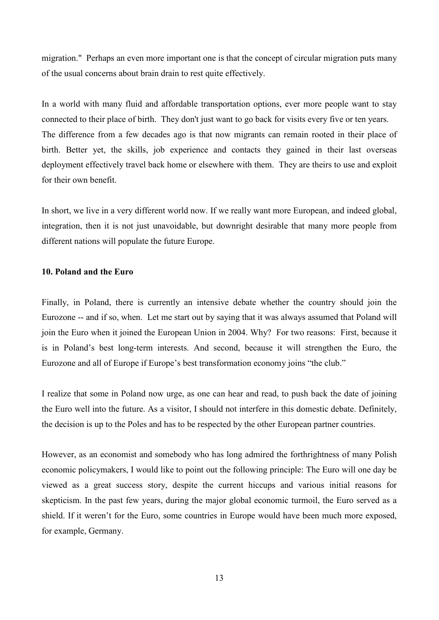migration." Perhaps an even more important one is that the concept of circular migration puts many of the usual concerns about brain drain to rest quite effectively.

In a world with many fluid and affordable transportation options, ever more people want to stay connected to their place of birth. They don't just want to go back for visits every five or ten years. The difference from a few decades ago is that now migrants can remain rooted in their place of birth. Better yet, the skills, job experience and contacts they gained in their last overseas deployment effectively travel back home or elsewhere with them. They are theirs to use and exploit for their own benefit.

In short, we live in a very different world now. If we really want more European, and indeed global, integration, then it is not just unavoidable, but downright desirable that many more people from different nations will populate the future Europe.

#### **10. Poland and the Euro**

Finally, in Poland, there is currently an intensive debate whether the country should join the Eurozone -- and if so, when. Let me start out by saying that it was always assumed that Poland will join the Euro when it joined the European Union in 2004. Why? For two reasons: First, because it is in Poland's best long-term interests. And second, because it will strengthen the Euro, the Eurozone and all of Europe if Europe's best transformation economy joins "the club."

I realize that some in Poland now urge, as one can hear and read, to push back the date of joining the Euro well into the future. As a visitor, I should not interfere in this domestic debate. Definitely, the decision is up to the Poles and has to be respected by the other European partner countries.

However, as an economist and somebody who has long admired the forthrightness of many Polish economic policymakers, I would like to point out the following principle: The Euro will one day be viewed as a great success story, despite the current hiccups and various initial reasons for skepticism. In the past few years, during the major global economic turmoil, the Euro served as a shield. If it weren't for the Euro, some countries in Europe would have been much more exposed, for example, Germany.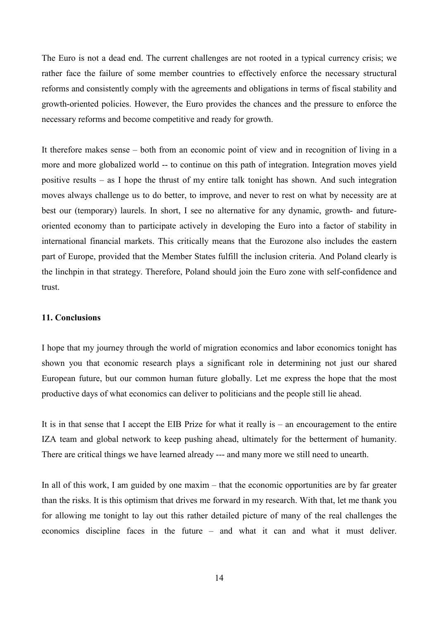The Euro is not a dead end. The current challenges are not rooted in a typical currency crisis; we rather face the failure of some member countries to effectively enforce the necessary structural reforms and consistently comply with the agreements and obligations in terms of fiscal stability and growth-oriented policies. However, the Euro provides the chances and the pressure to enforce the necessary reforms and become competitive and ready for growth.

It therefore makes sense – both from an economic point of view and in recognition of living in a more and more globalized world -- to continue on this path of integration. Integration moves yield positive results – as I hope the thrust of my entire talk tonight has shown. And such integration moves always challenge us to do better, to improve, and never to rest on what by necessity are at best our (temporary) laurels. In short, I see no alternative for any dynamic, growth- and futureoriented economy than to participate actively in developing the Euro into a factor of stability in international financial markets. This critically means that the Eurozone also includes the eastern part of Europe, provided that the Member States fulfill the inclusion criteria. And Poland clearly is the linchpin in that strategy. Therefore, Poland should join the Euro zone with self-confidence and trust.

#### **11. Conclusions**

I hope that my journey through the world of migration economics and labor economics tonight has shown you that economic research plays a significant role in determining not just our shared European future, but our common human future globally. Let me express the hope that the most productive days of what economics can deliver to politicians and the people still lie ahead.

It is in that sense that I accept the EIB Prize for what it really is – an encouragement to the entire IZA team and global network to keep pushing ahead, ultimately for the betterment of humanity. There are critical things we have learned already --- and many more we still need to unearth.

In all of this work, I am guided by one maxim – that the economic opportunities are by far greater than the risks. It is this optimism that drives me forward in my research. With that, let me thank you for allowing me tonight to lay out this rather detailed picture of many of the real challenges the economics discipline faces in the future – and what it can and what it must deliver.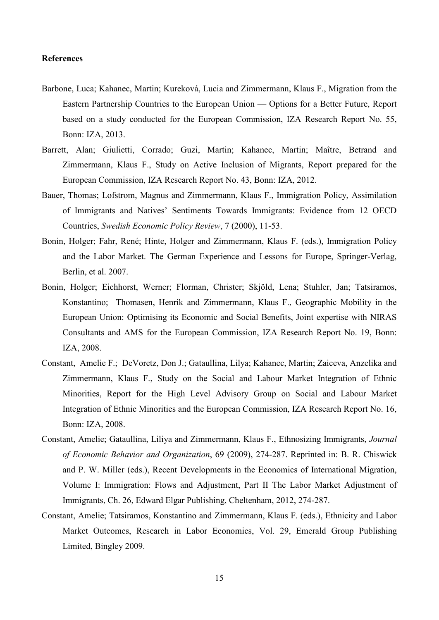#### **References**

- Barbone, Luca; Kahanec, Martin; Kureková, Lucia and Zimmermann, Klaus F., Migration from the Eastern Partnership Countries to the European Union — Options for a Better Future, Report based on a study conducted for the European Commission, IZA Research Report No. 55, Bonn: IZA, 2013.
- Barrett, Alan; Giulietti, Corrado; Guzi, Martin; Kahanec, Martin; Maître, Betrand and Zimmermann, Klaus F., Study on Active Inclusion of Migrants, Report prepared for the European Commission, IZA Research Report No. 43, Bonn: IZA, 2012.
- Bauer, Thomas; Lofstrom, Magnus and Zimmermann, Klaus F., Immigration Policy, Assimilation of Immigrants and Natives' Sentiments Towards Immigrants: Evidence from 12 OECD Countries, *Swedish Economic Policy Review*, 7 (2000), 11-53.
- Bonin, Holger; Fahr, René; Hinte, Holger and Zimmermann, Klaus F. (eds.), Immigration Policy and the Labor Market. The German Experience and Lessons for Europe, Springer-Verlag, Berlin, et al. 2007.
- Bonin, Holger; Eichhorst, Werner; Florman, Christer; Skjöld, Lena; Stuhler, Jan; Tatsiramos, Konstantino; Thomasen, Henrik and Zimmermann, Klaus F., Geographic Mobility in the European Union: Optimising its Economic and Social Benefits, Joint expertise with NIRAS Consultants and AMS for the European Commission, IZA Research Report No. 19, Bonn: IZA, 2008.
- Constant, Amelie F.; DeVoretz, Don J.; Gataullina, Lilya; Kahanec, Martin; Zaiceva, Anzelika and Zimmermann, Klaus F., Study on the Social and Labour Market Integration of Ethnic Minorities, Report for the High Level Advisory Group on Social and Labour Market Integration of Ethnic Minorities and the European Commission, IZA Research Report No. 16, Bonn: IZA, 2008.
- Constant, Amelie; Gataullina, Liliya and Zimmermann, Klaus F., Ethnosizing Immigrants, *Journal of Economic Behavior and Organization*, 69 (2009), 274-287. Reprinted in: B. R. Chiswick and P. W. Miller (eds.), Recent Developments in the Economics of International Migration, Volume I: Immigration: Flows and Adjustment, Part II The Labor Market Adjustment of Immigrants, Ch. 26, Edward Elgar Publishing, Cheltenham, 2012, 274-287.
- Constant, Amelie; Tatsiramos, Konstantino and Zimmermann, Klaus F. (eds.), Ethnicity and Labor Market Outcomes, Research in Labor Economics, Vol. 29, Emerald Group Publishing Limited, Bingley 2009.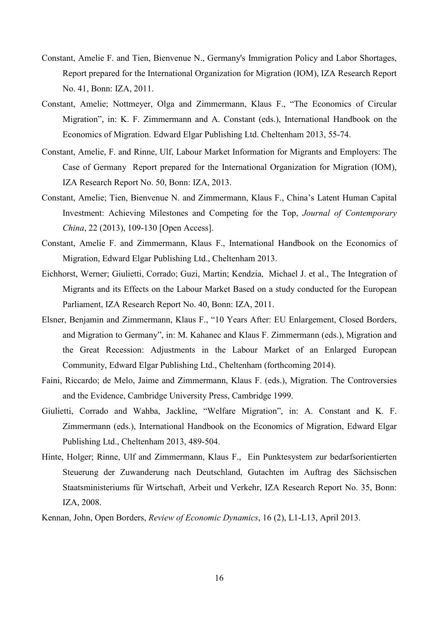- Constant, Amelie F. and Tien, Bienvenue N., Germany's Immigration Policy and Labor Shortages, Report prepared for the International Organization for Migration (IOM), IZA Research Report No. 41, Bonn: IZA, 2011.
- Constant, Amelie; Nottmeyer, Olga and Zimmermann, Klaus F., "The Economics of Circular Migration", in: K. F. Zimmermann and A. Constant (eds.), International Handbook on the Economics of Migration. Edward Elgar Publishing Ltd. Cheltenham 2013, 55-74.
- Constant, Amelie, F. and Rinne, Ulf, Labour Market Information for Migrants and Employers: The Case of Germany Report prepared for the International Organization for Migration (IOM), IZA Research Report No. 50, Bonn: IZA, 2013.
- Constant, Amelie; Tien, Bienvenue N. and Zimmermann, Klaus F., China's Latent Human Capital Investment: Achieving Milestones and Competing for the Top, *Journal of Contemporary China*, 22 (2013), 109-130 [\[Open Access\].](http://www.izajolp.com/content/pdf/2193-9004-1-3.pdf)
- Constant, Amelie F. and Zimmermann, Klaus F., International Handbook on the Economics of Migration, Edward Elgar Publishing Ltd., Cheltenham 2013.
- Eichhorst, Werner; Giulietti, Corrado; Guzi, Martin; Kendzia, Michael J. et al., The Integration of Migrants and its Effects on the Labour Market Based on a study conducted for the European Parliament, IZA Research Report No. 40, Bonn: IZA, 2011.
- Elsner, Benjamin and Zimmermann, Klaus F., ["10 Years After: EU Enlargement, Closed Borders,](http://www.iza.org/en/webcontent/publications/papers/viewAbstract?dp_id=7130)  [and Migration to Germany"](http://www.iza.org/en/webcontent/publications/papers/viewAbstract?dp_id=7130), in: M. Kahanec and Klaus F. Zimmermann (eds.), Migration and the Great Recession: Adjustments in the Labour Market of an Enlarged European Community, Edward Elgar Publishing Ltd., Cheltenham (forthcoming 2014).
- Faini, Riccardo; de Melo, Jaime and Zimmermann, Klaus F. (eds.), Migration. The Controversies and the Evidence, Cambridge University Press, Cambridge 1999.
- Giulietti, Corrado and Wahba, Jackline, "Welfare Migration", in: A. Constant and K. F. Zimmermann (eds.), International Handbook on the Economics of Migration, Edward Elgar Publishing Ltd., Cheltenham 2013, 489-504.
- Hinte, Holger; Rinne, Ulf and Zimmermann, Klaus F., Ein Punktesystem zur bedarfsorientierten Steuerung der Zuwanderung nach Deutschland, Gutachten im Auftrag des Sächsischen Staatsministeriums für Wirtschaft, Arbeit und Verkehr, IZA Research Report No. 35, Bonn: IZA, 2008.

Kennan, John, Open Borders, *Review of Economic Dynamics*, 16 (2), L1-L13, April 2013.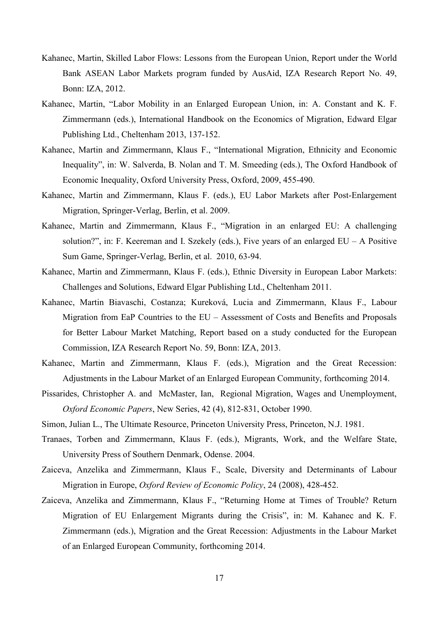- Kahanec, Martin, Skilled Labor Flows: Lessons from the European Union, Report under the World Bank ASEAN Labor Markets program funded by AusAid, IZA Research Report No. 49, Bonn: IZA, 2012.
- Kahanec, Martin, "Labor Mobility in an Enlarged European Union, in: A. Constant and K. F. Zimmermann (eds.), International Handbook on the Economics of Migration, Edward Elgar Publishing Ltd., Cheltenham 2013, 137-152.
- Kahanec, Martin and Zimmermann, Klaus F., "International Migration, Ethnicity and Economic Inequality", in: W. Salverda, B. Nolan and T. M. Smeeding (eds.), The Oxford Handbook of Economic Inequality, Oxford University Press, Oxford, 2009, 455-490.
- Kahanec, Martin and Zimmermann, Klaus F. (eds.), EU Labor Markets after Post-Enlargement Migration, Springer-Verlag, Berlin, et al. 2009.
- Kahanec, Martin and Zimmermann, Klaus F., "Migration in an enlarged EU: A challenging solution?", in: F. Keereman and I. Szekely (eds.), Five years of an enlarged  $EU - A$  Positive Sum Game, Springer-Verlag, Berlin, et al. 2010, 63-94.
- Kahanec, Martin and Zimmermann, Klaus F. (eds.), Ethnic Diversity in European Labor Markets: Challenges and Solutions, Edward Elgar Publishing Ltd., Cheltenham 2011.
- Kahanec, Martin Biavaschi, Costanza; Kureková, Lucia and Zimmermann, Klaus F., Labour Migration from EaP Countries to the EU – Assessment of Costs and Benefits and Proposals for Better Labour Market Matching, Report based on a study conducted for the European Commission, IZA Research Report No. 59, Bonn: IZA, 2013.
- Kahanec, Martin and Zimmermann, Klaus F. (eds.), Migration and the Great Recession: Adjustments in the Labour Market of an Enlarged European Community, forthcoming 2014.
- Pissarides, Christopher A. and McMaster, Ian, Regional Migration, Wages and Unemployment, *Oxford Economic Papers*, New Series, 42 (4), 812-831, October 1990.
- Simon, Julian L., The Ultimate Resource, Princeton University Press, Princeton, N.J. 1981.
- Tranaes, Torben and Zimmermann, Klaus F. (eds.), Migrants, Work, and the Welfare State, University Press of Southern Denmark, Odense. 2004.
- Zaiceva, Anzelika and Zimmermann, Klaus F., Scale, Diversity and Determinants of Labour Migration in Europe, *Oxford Review of Economic Policy*, 24 (2008), 428-452.
- Zaiceva, Anzelika and Zimmermann, Klaus F., "Returning Home at Times of Trouble? Return Migration of EU Enlargement Migrants during the Crisis", in: M. Kahanec and K. F. Zimmermann (eds.), Migration and the Great Recession: Adjustments in the Labour Market of an Enlarged European Community, forthcoming 2014.